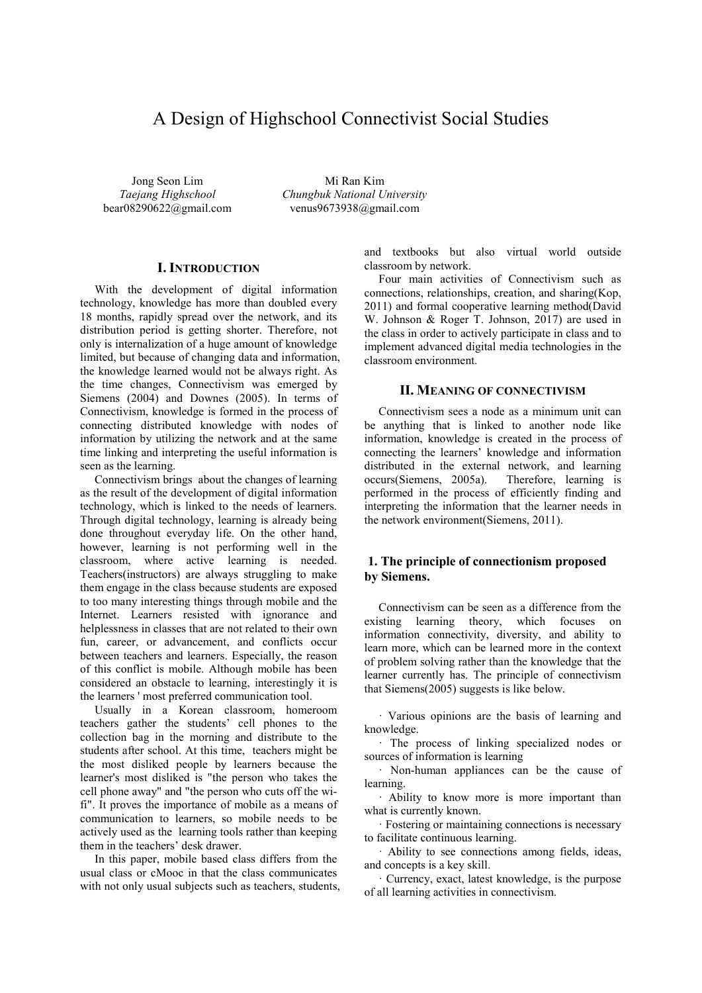# A Design of Highschool Connectivist Social Studies

Jong Seon Lim *Taejang Highschool*  bear08290622@gmail.com

Mi Ran Kim *Chungbuk National University*  venus9673938@gmail.com

#### **I. INTRODUCTION**

With the development of digital information technology, knowledge has more than doubled every 18 months, rapidly spread over the network, and its distribution period is getting shorter. Therefore, not only is internalization of a huge amount of knowledge limited, but because of changing data and information, the knowledge learned would not be always right. As the time changes, Connectivism was emerged by Siemens (2004) and Downes (2005). In terms of Connectivism, knowledge is formed in the process of connecting distributed knowledge with nodes of information by utilizing the network and at the same time linking and interpreting the useful information is seen as the learning.

Connectivism brings about the changes of learning as the result of the development of digital information technology, which is linked to the needs of learners. Through digital technology, learning is already being done throughout everyday life. On the other hand, however, learning is not performing well in the classroom, where active learning is needed. Teachers(instructors) are always struggling to make them engage in the class because students are exposed to too many interesting things through mobile and the Internet. Learners resisted with ignorance and helplessness in classes that are not related to their own fun, career, or advancement, and conflicts occur between teachers and learners. Especially, the reason of this conflict is mobile. Although mobile has been considered an obstacle to learning, interestingly it is the learners ' most preferred communication tool.

Usually in a Korean classroom, homeroom teachers gather the students' cell phones to the collection bag in the morning and distribute to the students after school. At this time, teachers might be the most disliked people by learners because the learner's most disliked is "the person who takes the cell phone away" and "the person who cuts off the wifi". It proves the importance of mobile as a means of communication to learners, so mobile needs to be actively used as the learning tools rather than keeping them in the teachers' desk drawer.

In this paper, mobile based class differs from the usual class or cMooc in that the class communicates with not only usual subjects such as teachers, students,

and textbooks but also virtual world outside classroom by network.

Four main activities of Connectivism such as connections, relationships, creation, and sharing(Kop, 2011) and formal cooperative learning method(David W. Johnson & Roger T. Johnson, 2017) are used in the class in order to actively participate in class and to implement advanced digital media technologies in the classroom environment.

#### **Ⅱ. MEANING OF CONNECTIVISM**

Connectivism sees a node as a minimum unit can be anything that is linked to another node like information, knowledge is created in the process of connecting the learners' knowledge and information distributed in the external network, and learning occurs(Siemens, 2005a). Therefore, learning is performed in the process of efficiently finding and interpreting the information that the learner needs in the network environment(Siemens, 2011).

# **1. The principle of connectionism proposed by Siemens.**

Connectivism can be seen as a difference from the existing learning theory, which focuses on information connectivity, diversity, and ability to learn more, which can be learned more in the context of problem solving rather than the knowledge that the learner currently has. The principle of connectivism that Siemens(2005) suggests is like below.

· Various opinions are the basis of learning and knowledge.

· The process of linking specialized nodes or sources of information is learning

· Non-human appliances can be the cause of learning.

· Ability to know more is more important than what is currently known.

· Fostering or maintaining connections is necessary to facilitate continuous learning.

· Ability to see connections among fields, ideas, and concepts is a key skill.

· Currency, exact, latest knowledge, is the purpose of all learning activities in connectivism.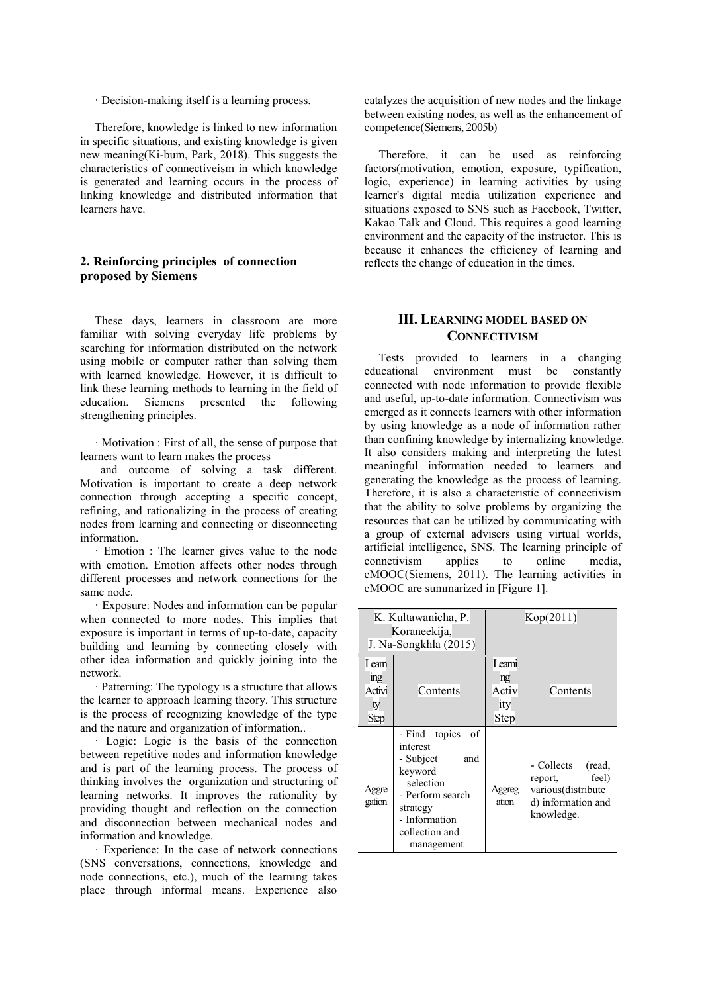· Decision-making itself is a learning process.

Therefore, knowledge is linked to new information in specific situations, and existing knowledge is given new meaning(Ki-bum, Park, 2018). This suggests the characteristics of connectiveism in which knowledge is generated and learning occurs in the process of linking knowledge and distributed information that learners have.

# **2. Reinforcing principles of connection proposed by Siemens**

These days, learners in classroom are more familiar with solving everyday life problems by searching for information distributed on the network using mobile or computer rather than solving them with learned knowledge. However, it is difficult to link these learning methods to learning in the field of education. Siemens presented the following strengthening principles.

· Motivation : First of all, the sense of purpose that learners want to learn makes the process

 and outcome of solving a task different. Motivation is important to create a deep network connection through accepting a specific concept, refining, and rationalizing in the process of creating nodes from learning and connecting or disconnecting information.

· Emotion : The learner gives value to the node with emotion. Emotion affects other nodes through different processes and network connections for the same node.

· Exposure: Nodes and information can be popular when connected to more nodes. This implies that exposure is important in terms of up-to-date, capacity building and learning by connecting closely with other idea information and quickly joining into the network.

· Patterning: The typology is a structure that allows the learner to approach learning theory. This structure is the process of recognizing knowledge of the type and the nature and organization of information..

· Logic: Logic is the basis of the connection between repetitive nodes and information knowledge and is part of the learning process. The process of thinking involves the organization and structuring of learning networks. It improves the rationality by providing thought and reflection on the connection and disconnection between mechanical nodes and information and knowledge.

· Experience: In the case of network connections (SNS conversations, connections, knowledge and node connections, etc.), much of the learning takes place through informal means. Experience also

catalyzes the acquisition of new nodes and the linkage between existing nodes, as well as the enhancement of competence(Siemens, 2005b)

Therefore, it can be used as reinforcing factors(motivation, emotion, exposure, typification, logic, experience) in learning activities by using learner's digital media utilization experience and situations exposed to SNS such as Facebook, Twitter, Kakao Talk and Cloud. This requires a good learning environment and the capacity of the instructor. This is because it enhances the efficiency of learning and reflects the change of education in the times.

# **III. LEARNING MODEL BASED ON CONNECTIVISM**

Tests provided to learners in a changing educational environment must be constantly connected with node information to provide flexible and useful, up-to-date information. Connectivism was emerged as it connects learners with other information by using knowledge as a node of information rather than confining knowledge by internalizing knowledge. It also considers making and interpreting the latest meaningful information needed to learners and generating the knowledge as the process of learning. Therefore, it is also a characteristic of connectivism that the ability to solve problems by organizing the resources that can be utilized by communicating with a group of external advisers using virtual worlds, artificial intelligence, SNS. The learning principle of connetivism applies to online media, cMOOC(Siemens, 2011). The learning activities in cMOOC are summarized in [Figure 1].

|                      | K. Kultawanicha, P.<br>Koraneekija,                                                                                                                                     | Kop(2011)            |                                                                                                    |  |
|----------------------|-------------------------------------------------------------------------------------------------------------------------------------------------------------------------|----------------------|----------------------------------------------------------------------------------------------------|--|
|                      | J. Na-Songkhla (2015)                                                                                                                                                   |                      |                                                                                                    |  |
| Leam<br>mg<br>Activi | Contents                                                                                                                                                                | Leami<br>ng<br>Activ | Contents                                                                                           |  |
| ty<br>Step           |                                                                                                                                                                         | ity<br>Step          |                                                                                                    |  |
| Aggre<br>gation      | - Find topics<br><sup>of</sup><br>interest<br>- Subject<br>and<br>keyword<br>selection<br>- Perform search<br>strategy<br>- Information<br>collection and<br>management | Aggreg<br>ation      | - Collects<br>(read,<br>feel)<br>report,<br>various(distribute<br>d) information and<br>knowledge. |  |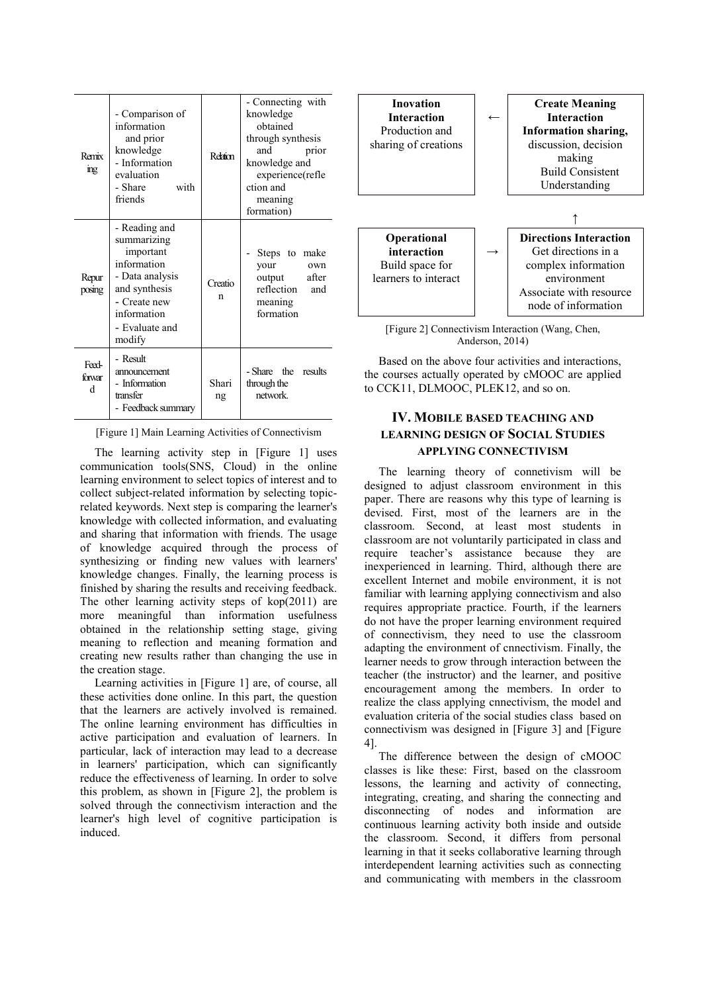| Remix<br>$\frac{1}{2}$          | - Comparison of<br>information<br>and prior<br>knowledge<br>- Information<br>evaluation<br>- Share<br>with<br>friends                                   | Rehim        | - Connecting with<br>knowledge<br>obtained<br>through synthesis<br>prior<br>and<br>knowledge and<br>experience(refle<br>ction and<br>meaning<br>formation) |
|---------------------------------|---------------------------------------------------------------------------------------------------------------------------------------------------------|--------------|------------------------------------------------------------------------------------------------------------------------------------------------------------|
| Repur<br>posing                 | - Reading and<br>summarizing<br>important<br>information<br>- Data analysis<br>and synthesis<br>- Create new<br>information<br>- Evaluate and<br>modify | Creatio<br>n | Steps to make<br>your<br>own<br>after<br>output<br>reflection<br>and<br>meaning<br>formation                                                               |
| Feed-<br>forwar<br><sub>d</sub> | - Result<br>announcement<br>- Information<br>transfer<br>- Feedback summary                                                                             | Shari<br>ng  | - Share the results<br>through the<br>network.                                                                                                             |

[Figure 1] Main Learning Activities of Connectivism

The learning activity step in [Figure 1] uses communication tools(SNS, Cloud) in the online learning environment to select topics of interest and to collect subject-related information by selecting topicrelated keywords. Next step is comparing the learner's knowledge with collected information, and evaluating and sharing that information with friends. The usage of knowledge acquired through the process of synthesizing or finding new values with learners' knowledge changes. Finally, the learning process is finished by sharing the results and receiving feedback. The other learning activity steps of kop(2011) are more meaningful than information usefulness obtained in the relationship setting stage, giving meaning to reflection and meaning formation and creating new results rather than changing the use in the creation stage.

Learning activities in [Figure 1] are, of course, all these activities done online. In this part, the question that the learners are actively involved is remained. The online learning environment has difficulties in active participation and evaluation of learners. In particular, lack of interaction may lead to a decrease in learners' participation, which can significantly reduce the effectiveness of learning. In order to solve this problem, as shown in [Figure 2], the problem is solved through the connectivism interaction and the learner's high level of cognitive participation is induced.



Anderson, 2014)

Based on the above four activities and interactions, the courses actually operated by cMOOC are applied to CCK11, DLMOOC, PLEK12, and so on.

# **Ⅳ. MOBILE BASED TEACHING AND LEARNING DESIGN OF SOCIAL STUDIES APPLYING CONNECTIVISM**

The learning theory of connetivism will be designed to adjust classroom environment in this paper. There are reasons why this type of learning is devised. First, most of the learners are in the classroom. Second, at least most students in classroom are not voluntarily participated in class and require teacher's assistance because they are inexperienced in learning. Third, although there are excellent Internet and mobile environment, it is not familiar with learning applying connectivism and also requires appropriate practice. Fourth, if the learners do not have the proper learning environment required of connectivism, they need to use the classroom adapting the environment of cnnectivism. Finally, the learner needs to grow through interaction between the teacher (the instructor) and the learner, and positive encouragement among the members. In order to realize the class applying cnnectivism, the model and evaluation criteria of the social studies class based on connectivism was designed in [Figure 3] and [Figure 4].

The difference between the design of cMOOC classes is like these: First, based on the classroom lessons, the learning and activity of connecting, integrating, creating, and sharing the connecting and disconnecting of nodes and information are continuous learning activity both inside and outside the classroom. Second, it differs from personal learning in that it seeks collaborative learning through interdependent learning activities such as connecting and communicating with members in the classroom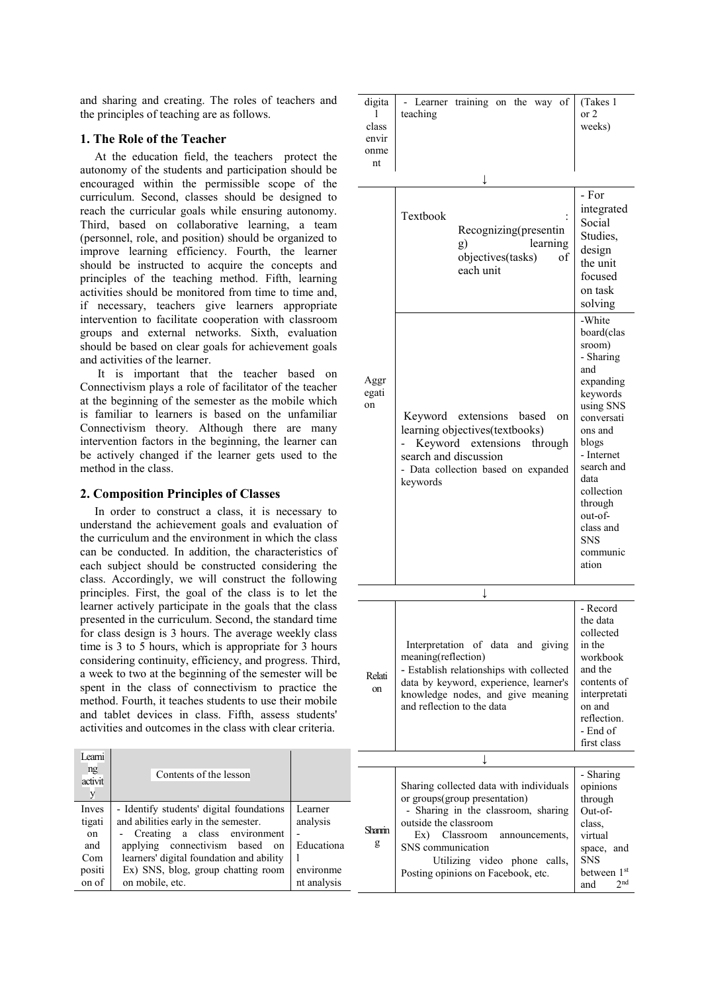and sharing and creating. The roles of teachers and the principles of teaching are as follows.

# **1. The Role of the Teacher**

At the education field, the teachers protect the autonomy of the students and participation should be encouraged within the permissible scope of the curriculum. Second, classes should be designed to reach the curricular goals while ensuring autonomy. Third, based on collaborative learning, a team (personnel, role, and position) should be organized to improve learning efficiency. Fourth, the learner should be instructed to acquire the concepts and principles of the teaching method. Fifth, learning activities should be monitored from time to time and, if necessary, teachers give learners appropriate intervention to facilitate cooperation with classroom groups and external networks. Sixth, evaluation should be based on clear goals for achievement goals and activities of the learner.

 It is important that the teacher based on Connectivism plays a role of facilitator of the teacher at the beginning of the semester as the mobile which is familiar to learners is based on the unfamiliar Connectivism theory. Although there are many intervention factors in the beginning, the learner can be actively changed if the learner gets used to the method in the class.

### **2. Composition Principles of Classes**

Learni ng activit y

Inves tigati on and Com positi on of

In order to construct a class, it is necessary to understand the achievement goals and evaluation of the curriculum and the environment in which the class can be conducted. In addition, the characteristics of each subject should be constructed considering the class. Accordingly, we will construct the following principles. First, the goal of the class is to let the learner actively participate in the goals that the class presented in the curriculum. Second, the standard time for class design is 3 hours. The average weekly class time is 3 to 5 hours, which is appropriate for 3 hours considering continuity, efficiency, and progress. Third, a week to two at the beginning of the semester will be spent in the class of connectivism to practice the method. Fourth, it teaches students to use their mobile and tablet devices in class. Fifth, assess students' activities and outcomes in the class with clear criteria.

Contents of the lesson

- Identify students' digital foundations and abilities early in the semester. Creating a class environment applying connectivism based on learners' digital foundation and ability Ex) SNS, blog, group chatting room

on mobile, etc.

| 1<br>class<br>envir<br>onme<br>nt | - Learner training on the way of<br>teaching                                                                                                                                                                                                                              | (Takes 1)<br>or 2<br>weeks)                                                                                                                                                                        |  |  |  |  |  |
|-----------------------------------|---------------------------------------------------------------------------------------------------------------------------------------------------------------------------------------------------------------------------------------------------------------------------|----------------------------------------------------------------------------------------------------------------------------------------------------------------------------------------------------|--|--|--|--|--|
|                                   | Textbook<br>Recognizing(presentin<br>g)<br>learning<br>objectives(tasks)<br>οf<br>each unit                                                                                                                                                                               | - For<br>integrated<br>Social<br>Studies,<br>design<br>the unit<br>focused<br>on task<br>solving                                                                                                   |  |  |  |  |  |
| Aggr<br>egati<br>on               | Keyword extensions based<br>on<br>learning objectives (textbooks)<br>Keyword extensions<br>through<br>search and discussion<br>- Data collection based on expanded<br>keywords                                                                                            | -White<br>board(clas<br>sroom)<br>- Sharing<br>and<br>expanding<br>keywords<br>using SNS<br>conversati<br>ons and<br>blogs<br>- Internet<br>search and<br>data<br>collection<br>through<br>out-of- |  |  |  |  |  |
|                                   |                                                                                                                                                                                                                                                                           | class and<br><b>SNS</b><br>communic<br>ation                                                                                                                                                       |  |  |  |  |  |
| - Record                          |                                                                                                                                                                                                                                                                           |                                                                                                                                                                                                    |  |  |  |  |  |
| Relati<br>on                      | Interpretation of data and giving<br>meaning(reflection)<br>- Establish relationships with collected<br>data by keyword, experience, learner's<br>knowledge nodes, and give meaning<br>and reflection to the data                                                         | the data<br>collected<br>in the<br>workbook<br>and the<br>contents of<br>interpretati<br>on and<br>reflection.<br>- End of<br>first class                                                          |  |  |  |  |  |
|                                   | ↓                                                                                                                                                                                                                                                                         |                                                                                                                                                                                                    |  |  |  |  |  |
| Shannin<br>g                      | Sharing collected data with individuals<br>or groups(group presentation)<br>- Sharing in the classroom, sharing<br>outside the classroom<br>Ex)<br>Classroom<br>announcements,<br>SNS communication<br>Utilizing video phone calls,<br>Posting opinions on Facebook, etc. | - Sharing<br>opinions<br>through<br>$Out-of-$<br>class,<br>virtual<br>space, and<br><b>SNS</b><br>between 1 <sup>st</sup><br>2 <sub>nd</sub><br>and                                                |  |  |  |  |  |
|                                   |                                                                                                                                                                                                                                                                           | ↓<br>↓                                                                                                                                                                                             |  |  |  |  |  |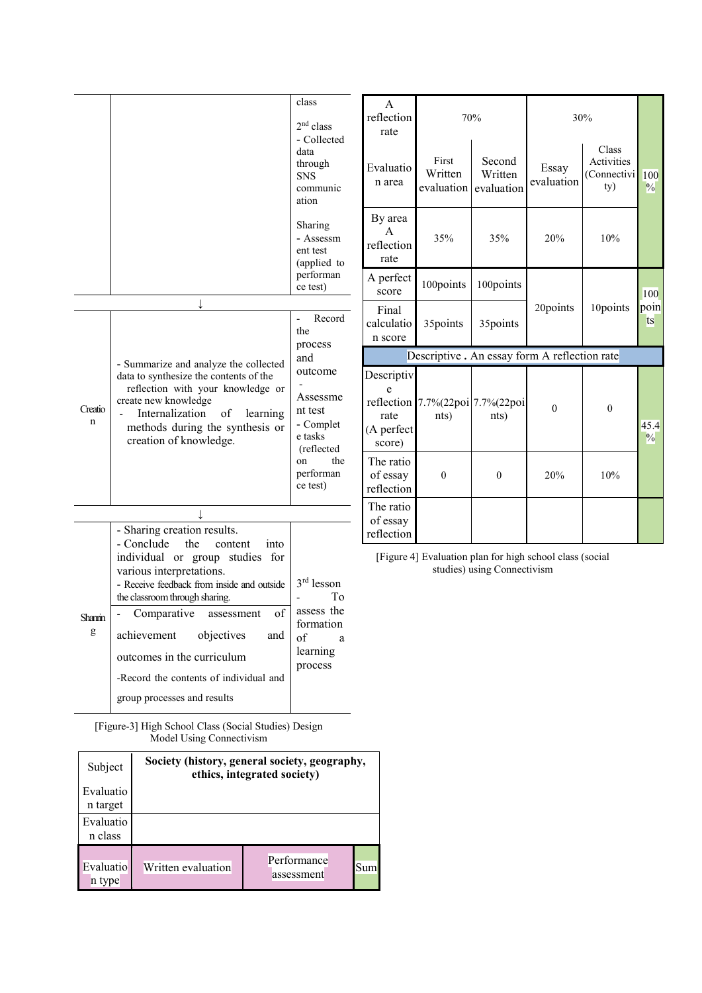|                        |                                                                                                                                                                                                                                                     | class<br>$2nd$ class<br>- Collected                                                                                                                             | A<br>reflection<br>rate                                                                 | 70%                                      |                                 | 30%                 |                                           |                       |
|------------------------|-----------------------------------------------------------------------------------------------------------------------------------------------------------------------------------------------------------------------------------------------------|-----------------------------------------------------------------------------------------------------------------------------------------------------------------|-----------------------------------------------------------------------------------------|------------------------------------------|---------------------------------|---------------------|-------------------------------------------|-----------------------|
|                        |                                                                                                                                                                                                                                                     | data<br>through<br><b>SNS</b><br>communic<br>ation                                                                                                              | Evaluatio<br>n area                                                                     | First<br>Written<br>evaluation           | Second<br>Written<br>evaluation | Essay<br>evaluation | Class<br>Activities<br>(Connectivi<br>ty) | 100<br>$\frac{0}{0}$  |
|                        |                                                                                                                                                                                                                                                     | Sharing<br>- Assessm<br>ent test<br>(applied to                                                                                                                 | By area<br>A<br>reflection<br>rate                                                      | 35%                                      | 35%                             | 20%                 | 10%                                       |                       |
|                        |                                                                                                                                                                                                                                                     | performan<br>ce test)                                                                                                                                           | A perfect<br>score                                                                      | 100points                                | 100points                       |                     |                                           | 100                   |
|                        | ↓<br>- Summarize and analyze the collected<br>data to synthesize the contents of the<br>reflection with your knowledge or<br>create new knowledge<br>of<br>Internalization<br>learning<br>methods during the synthesis or<br>creation of knowledge. | Record<br>$\overline{a}$<br>the<br>process<br>and<br>outcome<br>Assessme<br>nt test<br>- Complet<br>e tasks<br>(reflected<br>the<br>on<br>performan<br>ce test) | Final<br>calculatio<br>n score                                                          | 35points                                 | 35points                        | 20points            | 10points                                  | poin<br>ts            |
|                        |                                                                                                                                                                                                                                                     |                                                                                                                                                                 | Descriptive . An essay form A reflection rate                                           |                                          |                                 |                     |                                           |                       |
| Creatio<br>$\mathbf n$ |                                                                                                                                                                                                                                                     |                                                                                                                                                                 | Descriptiv<br>rate<br>(A perfect<br>score)                                              | reflection 7.7%(22poi 7.7%(22poi<br>nts) | nts)                            | $\theta$            | $\mathbf{0}$                              | 45.4<br>$\frac{0}{0}$ |
|                        |                                                                                                                                                                                                                                                     |                                                                                                                                                                 | The ratio<br>of essay<br>reflection                                                     | $\theta$                                 | $\theta$                        | 20%                 | 10%                                       |                       |
| J.                     |                                                                                                                                                                                                                                                     |                                                                                                                                                                 | The ratio                                                                               |                                          |                                 |                     |                                           |                       |
|                        | - Sharing creation results.<br>- Conclude<br>the<br>content<br>into                                                                                                                                                                                 |                                                                                                                                                                 | of essay<br>reflection                                                                  |                                          |                                 |                     |                                           |                       |
|                        | individual or group studies for<br>various interpretations.<br>- Receive feedback from inside and outside<br>the classroom through sharing.                                                                                                         | $3rd$ lesson<br>To                                                                                                                                              | [Figure 4] Evaluation plan for high school class (social<br>studies) using Connectivism |                                          |                                 |                     |                                           |                       |
| Shanin                 | of<br>Comparative<br>assessment<br>$\blacksquare$                                                                                                                                                                                                   | assess the                                                                                                                                                      |                                                                                         |                                          |                                 |                     |                                           |                       |
| g                      | objectives<br>achievement<br>and                                                                                                                                                                                                                    | formation<br>of<br>a                                                                                                                                            |                                                                                         |                                          |                                 |                     |                                           |                       |
|                        | outcomes in the curriculum                                                                                                                                                                                                                          | learning                                                                                                                                                        |                                                                                         |                                          |                                 |                     |                                           |                       |

process

[Figure-3] High School Class (Social Studies) Design Model Using Connectivism

-Record the contents of individual and

group processes and results

| Subject                                       | Society (history, general society, geography,<br>ethics, integrated society) |                           |     |  |  |
|-----------------------------------------------|------------------------------------------------------------------------------|---------------------------|-----|--|--|
| Evaluatio<br>n target<br>Evaluatio<br>n class |                                                                              |                           |     |  |  |
| Evaluatio<br>n type                           | Written evaluation                                                           | Performance<br>assessment | Sum |  |  |